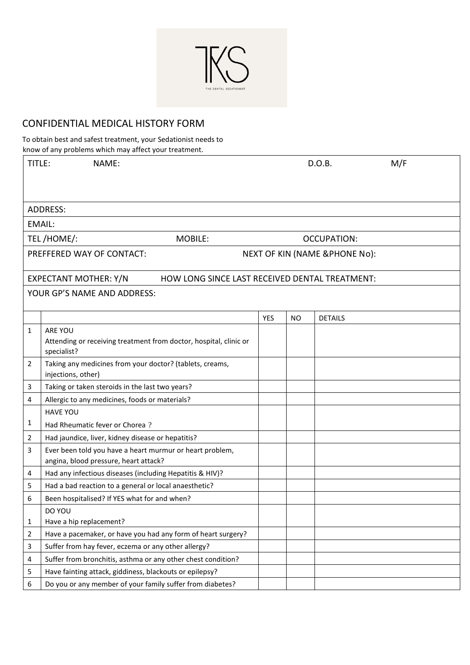

## CONFIDENTIAL MEDICAL HISTORY FORM

To obtain best and safest treatment, your Sedationist needs to

|                       | know of any problems which may affect your treatment.                                             |     |                                          |                |     |  |  |  |
|-----------------------|---------------------------------------------------------------------------------------------------|-----|------------------------------------------|----------------|-----|--|--|--|
| TITLE:                | NAME:                                                                                             |     |                                          | D.O.B.         | M/F |  |  |  |
|                       |                                                                                                   |     |                                          |                |     |  |  |  |
|                       | <b>ADDRESS:</b>                                                                                   |     |                                          |                |     |  |  |  |
|                       | <b>EMAIL:</b>                                                                                     |     |                                          |                |     |  |  |  |
| TEL/HOME/:<br>MOBILE: |                                                                                                   |     | <b>OCCUPATION:</b>                       |                |     |  |  |  |
|                       | PREFFERED WAY OF CONTACT:                                                                         |     | <b>NEXT OF KIN (NAME &amp;PHONE No):</b> |                |     |  |  |  |
|                       | <b>EXPECTANT MOTHER: Y/N</b><br>HOW LONG SINCE LAST RECEIVED DENTAL TREATMENT:                    |     |                                          |                |     |  |  |  |
|                       | YOUR GP'S NAME AND ADDRESS:                                                                       |     |                                          |                |     |  |  |  |
|                       |                                                                                                   |     |                                          |                |     |  |  |  |
|                       |                                                                                                   | YES | <b>NO</b>                                | <b>DETAILS</b> |     |  |  |  |
| 1                     | <b>ARE YOU</b><br>Attending or receiving treatment from doctor, hospital, clinic or               |     |                                          |                |     |  |  |  |
|                       | specialist?                                                                                       |     |                                          |                |     |  |  |  |
| 2                     | Taking any medicines from your doctor? (tablets, creams,<br>injections, other)                    |     |                                          |                |     |  |  |  |
| 3                     | Taking or taken steroids in the last two years?                                                   |     |                                          |                |     |  |  |  |
| 4                     | Allergic to any medicines, foods or materials?                                                    |     |                                          |                |     |  |  |  |
|                       | <b>HAVE YOU</b>                                                                                   |     |                                          |                |     |  |  |  |
| 1                     | Had Rheumatic fever or Chorea?                                                                    |     |                                          |                |     |  |  |  |
| 2                     | Had jaundice, liver, kidney disease or hepatitis?                                                 |     |                                          |                |     |  |  |  |
| 3                     | Ever been told you have a heart murmur or heart problem,<br>angina, blood pressure, heart attack? |     |                                          |                |     |  |  |  |
| 4                     | Had any infectious diseases (including Hepatitis & HIV)?                                          |     |                                          |                |     |  |  |  |
| 5                     | Had a bad reaction to a general or local anaesthetic?                                             |     |                                          |                |     |  |  |  |
| 6                     | Been hospitalised? If YES what for and when?                                                      |     |                                          |                |     |  |  |  |
|                       | DO YOU                                                                                            |     |                                          |                |     |  |  |  |
| 1                     | Have a hip replacement?                                                                           |     |                                          |                |     |  |  |  |
| 2                     | Have a pacemaker, or have you had any form of heart surgery?                                      |     |                                          |                |     |  |  |  |
| 3                     | Suffer from hay fever, eczema or any other allergy?                                               |     |                                          |                |     |  |  |  |
| 4                     | Suffer from bronchitis, asthma or any other chest condition?                                      |     |                                          |                |     |  |  |  |
| 5                     | Have fainting attack, giddiness, blackouts or epilepsy?                                           |     |                                          |                |     |  |  |  |
| 6                     | Do you or any member of your family suffer from diabetes?                                         |     |                                          |                |     |  |  |  |